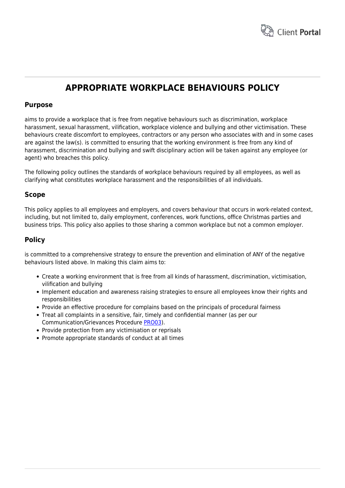

# **APPROPRIATE WORKPLACE BEHAVIOURS POLICY**

# **Purpose**

aims to provide a workplace that is free from negative behaviours such as discrimination, workplace harassment, sexual harassment, vilification, workplace violence and bullying and other victimisation. These behaviours create discomfort to employees, contractors or any person who associates with and in some cases are against the law(s). is committed to ensuring that the working environment is free from any kind of harassment, discrimination and bullying and swift disciplinary action will be taken against any employee (or agent) who breaches this policy.

The following policy outlines the standards of workplace behaviours required by all employees, as well as clarifying what constitutes workplace harassment and the responsibilities of all individuals.

# **Scope**

This policy applies to all employees and employers, and covers behaviour that occurs in work-related context, including, but not limited to, daily employment, conferences, work functions, office Christmas parties and business trips. This policy also applies to those sharing a common workplace but not a common employer.

# **Policy**

is committed to a comprehensive strategy to ensure the prevention and elimination of ANY of the negative behaviours listed above. In making this claim aims to:

- Create a working environment that is free from all kinds of harassment, discrimination, victimisation, vilification and bullying
- Implement education and awareness raising strategies to ensure all employees know their rights and responsibilities
- Provide an effective procedure for complains based on the principals of procedural fairness
- Treat all complaints in a sensitive, fair, timely and confidential manner (as per our Communication/Grievances Procedure [PRO03\)](https://www.hrtemplates.com.au/policies_procedures/hr-pro03-communication-grievance-procedure/).
- Provide protection from any victimisation or reprisals
- Promote appropriate standards of conduct at all times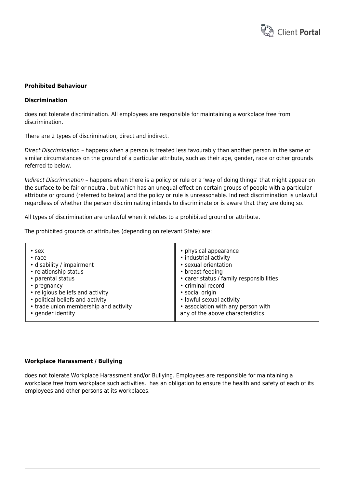

## **Prohibited Behaviour**

## **Discrimination**

does not tolerate discrimination. All employees are responsible for maintaining a workplace free from discrimination.

There are 2 types of discrimination, direct and indirect.

Direct Discrimination – happens when a person is treated less favourably than another person in the same or similar circumstances on the ground of a particular attribute, such as their age, gender, race or other grounds referred to below.

Indirect Discrimination – happens when there is a policy or rule or a 'way of doing things' that might appear on the surface to be fair or neutral, but which has an unequal effect on certain groups of people with a particular attribute or ground (referred to below) and the policy or rule is unreasonable. Indirect discrimination is unlawful regardless of whether the person discriminating intends to discriminate or is aware that they are doing so.

All types of discrimination are unlawful when it relates to a prohibited ground or attribute.

The prohibited grounds or attributes (depending on relevant State) are:

| $\cdot$ sex                           | • physical appearance                    |
|---------------------------------------|------------------------------------------|
| $\cdot$ race                          | • industrial activity                    |
| · disability / impairment             | · sexual orientation                     |
| • relationship status                 | • breast feeding                         |
| • parental status                     | • carer status / family responsibilities |
| • pregnancy                           | • criminal record                        |
| • religious beliefs and activity      | • social origin                          |
| • political beliefs and activity      | · lawful sexual activity                 |
| • trade union membership and activity | • association with any person with       |
| • gender identity                     | any of the above characteristics.        |

#### **Workplace Harassment / Bullying**

does not tolerate Workplace Harassment and/or Bullying. Employees are responsible for maintaining a workplace free from workplace such activities. has an obligation to ensure the health and safety of each of its employees and other persons at its workplaces.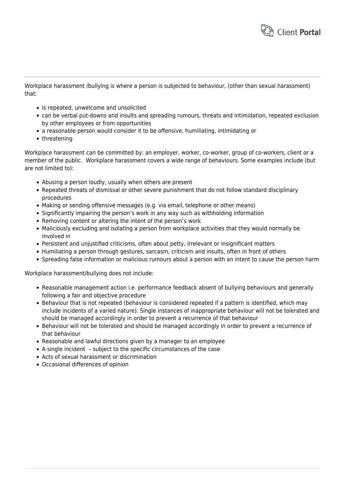

Workplace harassment /bullying is where a person is subjected to behaviour, (other than sexual harassment) that:

- is repeated, unwelcome and unsolicited
- can be verbal put-downs and insults and spreading rumours, threats and intimidation, repeated exclusion by other employees or from opportunities
- a reasonable person would consider it to be offensive, humiliating, intimidating or
- threatening

Workplace harassment can be committed by: an employer, worker, co-worker, group of co-workers, client or a member of the public. Workplace harassment covers a wide range of behaviours. Some examples include (but are not limited to):

- Abusing a person loudly, usually when others are present
- Repeated threats of dismissal or other severe punishment that do not follow standard disciplinary procedures
- Making or sending offensive messages (e.g. via email, telephone or other means)
- Significantly impairing the person's work in any way such as withholding information
- Removing content or altering the intent of the person's work
- Maliciously excluding and isolating a person from workplace activities that they would normally be involved in
- Persistent and unjustified criticisms, often about petty, irrelevant or insignificant matters
- Humiliating a person through gestures, sarcasm, criticism and insults, often in front of others
- Spreading false information or malicious rumours about a person with an intent to cause the person harm

Workplace harassment/bullying does not include:

- Reasonable management action i.e. performance feedback absent of bullying behaviours and generally following a fair and objective procedure
- Behaviour that is not repeated (behaviour is considered repeated if a pattern is identified, which may include incidents of a varied nature). Single instances of inappropriate behaviour will not be tolerated and should be managed accordingly in order to prevent a recurrence of that behaviour
- Behaviour will not be tolerated and should be managed accordingly in order to prevent a recurrence of that behaviour
- Reasonable and lawful directions given by a manager to an employee
- A single incident subject to the specific circumstances of the case
- Acts of sexual harassment or discrimination
- Occasional differences of opinion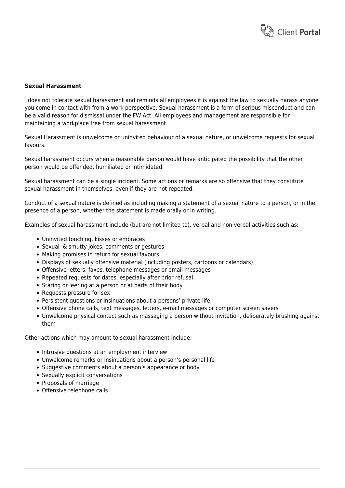

#### **Sexual Harassment**

 does not tolerate sexual harassment and reminds all employees it is against the law to sexually harass anyone you come in contact with from a work perspective. Sexual harassment is a form of serious misconduct and can be a valid reason for dismissal under the FW Act. All employees and management are responsible for maintaining a workplace free from sexual harassment.

Sexual Harassment is unwelcome or uninvited behaviour of a sexual nature, or unwelcome requests for sexual favours.

Sexual harassment occurs when a reasonable person would have anticipated the possibility that the other person would be offended, humiliated or intimidated.

Sexual harassment can be a single incident. Some actions or remarks are so offensive that they constitute sexual harassment in themselves, even if they are not repeated.

Conduct of a sexual nature is defined as including making a statement of a sexual nature to a person, or in the presence of a person, whether the statement is made orally or in writing.

Examples of sexual harassment include (but are not limited to), verbal and non verbal activities such as:

- Uninvited touching, kisses or embraces
- Sexual & smutty jokes, comments or gestures
- Making promises in return for sexual favours
- Displays of sexually offensive material (including posters, cartoons or calendars)
- Offensive letters, faxes, telephone messages or email messages
- Repeated requests for dates, especially after prior refusal
- Staring or leering at a person or at parts of their body
- Requests pressure for sex
- Persistent questions or insinuations about a persons' private life
- Offensive phone calls, text messages, letters, e-mail messages or computer screen savers
- Unwelcome physical contact such as massaging a person without invitation, deliberately brushing against them

Other actions which may amount to sexual harassment include:

- Intrusive questions at an employment interview
- Unwelcome remarks or insinuations about a person's personal life
- Suggestive comments about a person's appearance or body
- Sexually explicit conversations
- Proposals of marriage
- Offensive telephone calls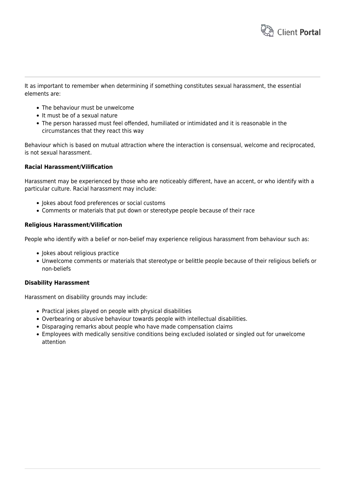

It as important to remember when determining if something constitutes sexual harassment, the essential elements are:

- The behaviour must be unwelcome
- It must be of a sexual nature
- The person harassed must feel offended, humiliated or intimidated and it is reasonable in the circumstances that they react this way

Behaviour which is based on mutual attraction where the interaction is consensual, welcome and reciprocated, is not sexual harassment.

#### **Racial Harassment/Vilification**

Harassment may be experienced by those who are noticeably different, have an accent, or who identify with a particular culture. Racial harassment may include:

- Jokes about food preferences or social customs
- Comments or materials that put down or stereotype people because of their race

#### **Religious Harassment/Vilification**

People who identify with a belief or non-belief may experience religious harassment from behaviour such as:

- Jokes about religious practice
- Unwelcome comments or materials that stereotype or belittle people because of their religious beliefs or non-beliefs

#### **Disability Harassment**

Harassment on disability grounds may include:

- Practical jokes played on people with physical disabilities
- Overbearing or abusive behaviour towards people with intellectual disabilities.
- Disparaging remarks about people who have made compensation claims
- Employees with medically sensitive conditions being excluded isolated or singled out for unwelcome attention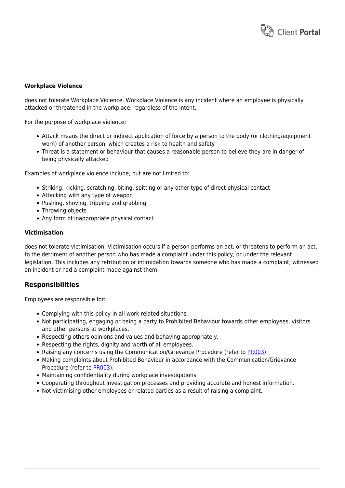

# **Workplace Violence**

does not tolerate Workplace Violence. Workplace Violence is any incident where an employee is physically attacked or threatened in the workplace, regardless of the intent.

For the purpose of workplace violence:

- Attack means the direct or indirect application of force by a person to the body (or clothing/equipment worn) of another person, which creates a risk to health and safety
- Threat is a statement or behaviour that causes a reasonable person to believe they are in danger of being physically attacked

Examples of workplace violence include, but are not limited to:

- Striking, kicking, scratching, biting, spitting or any other type of direct physical contact
- Attacking with any type of weapon
- Pushing, shoving, tripping and grabbing
- Throwing objects
- Any form of inappropriate physical contact

## **Victimisation**

does not tolerate victimisation. Victimisation occurs if a person performs an act, or threatens to perform an act, to the detriment of another person who has made a complaint under this policy, or under the relevant legislation. This includes any retribution or intimidation towards someone who has made a complaint, witnessed an incident or had a complaint made against them.

# **Responsibilities**

Employees are responsible for:

- Complying with this policy in all work related situations.
- Not participating, engaging or being a party to Prohibited Behaviour towards other employees, visitors and other persons at workplaces.
- Respecting others opinions and values and behaving appropriately.
- Respecting the rights, dignity and worth of all employees.
- Raising any concerns using the Communication/Grievance Procedure (refer to [PR003\)](https://www.hrtemplates.com.au/policies_procedures/hr-pro03-communication-grievance-procedure/).
- Making complaints about Prohibited Behaviour in accordance with the Communication/Grievance Procedure (refer to [PR003\)](https://www.hrtemplates.com.au/policies_procedures/hr-pro03-communication-grievance-procedure/).
- Maintaining confidentiality during workplace investigations.
- Cooperating throughout investigation processes and providing accurate and honest information.
- Not victimising other employees or related parties as a result of raising a complaint.